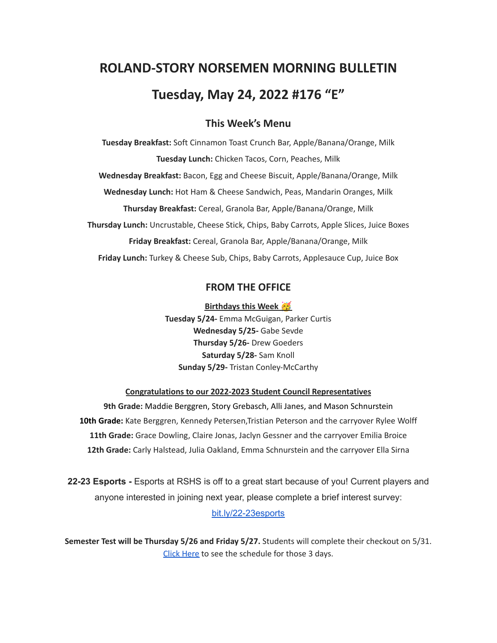# **ROLAND-STORY NORSEMEN MORNING BULLETIN Tuesday, May 24, 2022 #176 "E"**

## **This Week's Menu**

**Tuesday Breakfast:** Soft Cinnamon Toast Crunch Bar, Apple/Banana/Orange, Milk **Tuesday Lunch:** Chicken Tacos, Corn, Peaches, Milk **Wednesday Breakfast:** Bacon, Egg and Cheese Biscuit, Apple/Banana/Orange, Milk **Wednesday Lunch:** Hot Ham & Cheese Sandwich, Peas, Mandarin Oranges, Milk **Thursday Breakfast:** Cereal, Granola Bar, Apple/Banana/Orange, Milk **Thursday Lunch:** Uncrustable, Cheese Stick, Chips, Baby Carrots, Apple Slices, Juice Boxes **Friday Breakfast:** Cereal, Granola Bar, Apple/Banana/Orange, Milk **Friday Lunch:** Turkey & Cheese Sub, Chips, Baby Carrots, Applesauce Cup, Juice Box

## **FROM THE OFFICE**

**Birthdays this Week Tuesday 5/24-** Emma McGuigan, Parker Curtis **Wednesday 5/25-** Gabe Sevde **Thursday 5/26-** Drew Goeders **Saturday 5/28-** Sam Knoll **Sunday 5/29-** Tristan Conley-McCarthy

#### **Congratulations to our 2022-2023 Student Council Representatives**

**9th Grade:** Maddie Berggren, Story Grebasch, Alli Janes, and Mason Schnurstein **10th Grade:** Kate Berggren, Kennedy Petersen,Tristian Peterson and the carryover Rylee Wolff **11th Grade:** Grace Dowling, Claire Jonas, Jaclyn Gessner and the carryover Emilia Broice **12th Grade:** Carly Halstead, Julia Oakland, Emma Schnurstein and the carryover Ella Sirna

**22-23 Esports -** Esports at RSHS is off to a great start because of you! Current players and anyone interested in joining next year, please complete a brief interest survey: [bit.ly/22-23esports](http://bit.ly/22-23esports)

**Semester Test will be Thursday 5/26 and Friday 5/27.** Students will complete their checkout on 5/31. Click [Here](https://drive.google.com/file/d/1f_W_f9rcsywnweiwi6fCuPDOMZBp9ou-/view?usp=sharing) to see the schedule for those 3 days.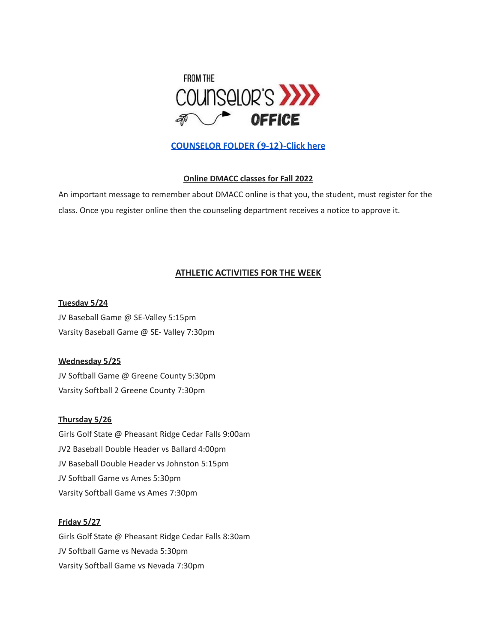

## **[COUNSELOR FOLDER](https://docs.google.com/document/d/1vmwczNPbDzXe9vFaG5LJMQ7NYDv-i4oQJHybqA65TUc/edit?usp=sharing) (9-12)-Click here**

#### **Online DMACC classes for Fall 2022**

An important message to remember about DMACC online is that you, the student, must register for the class. Once you register online then the counseling department receives a notice to approve it.

## **ATHLETIC ACTIVITIES FOR THE WEEK**

**Tuesday 5/24** JV Baseball Game @ SE-Valley 5:15pm Varsity Baseball Game @ SE- Valley 7:30pm

#### **Wednesday 5/25**

JV Softball Game @ Greene County 5:30pm Varsity Softball 2 Greene County 7:30pm

#### **Thursday 5/26**

Girls Golf State @ Pheasant Ridge Cedar Falls 9:00am JV2 Baseball Double Header vs Ballard 4:00pm JV Baseball Double Header vs Johnston 5:15pm JV Softball Game vs Ames 5:30pm Varsity Softball Game vs Ames 7:30pm

#### **Friday 5/27**

Girls Golf State @ Pheasant Ridge Cedar Falls 8:30am JV Softball Game vs Nevada 5:30pm Varsity Softball Game vs Nevada 7:30pm